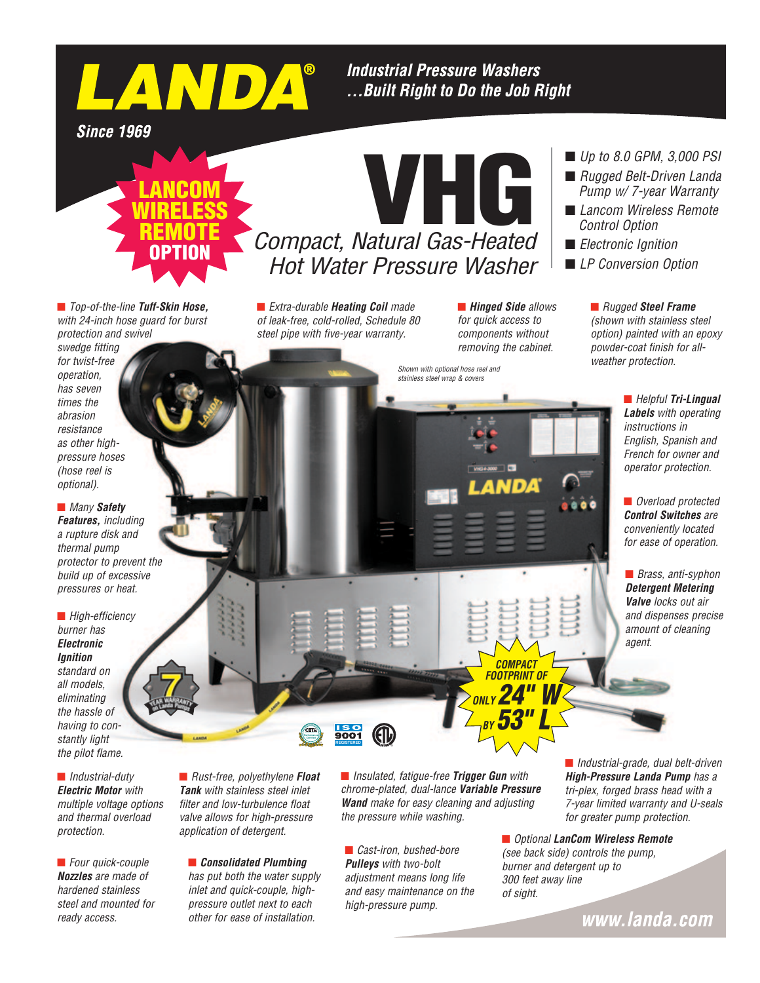**Industrial Pressure Washers** ...Built Right to Do the Job Right

VHG

**Since 1969** 



LANDA®

■ *Top-of-the-line Tuff-Skin Hose, with 24-inch hose guard for burst protection and swivel* 

*swedge fitting for twist-free operation, has seven times the abrasion resistance as other highpressure hoses (hose reel is optional).*

**n** *Many* Safety *Features, including a rupture disk and thermal pump protector to prevent the build up of excessive pressures or heat.*

■ *High-efficiency burner has Electronic Ignition standard on all models, eliminating the hassle of having to constantly light the pilot flame.*

n *Industrial-duty Electric Motor with multiple voltage options and thermal overload protection.*

■ *Four quick-couple Nozzles are made of hardened stainless steel and mounted for ready access.*

n *Rust-free, polyethylene Float Tank with stainless steel inlet filter and low-turbulence float valve allows for high-pressure application of detergent.*

## n *Consolidated Plumbing*

*has put both the water supply inlet and quick-couple, highpressure outlet next to each other for ease of installation.*

■ *Extra-durable Heating Coil made of leak-free, cold-rolled, Schedule 80 steel pipe with five-year warranty.*

**n** *Hinged Side allows for quick access to components without removing the cabinet.*

> *COMPACT FOOTPRINT OF ONLY 24" W*

*BY 53" L*

## *Shown with optional hose reel and stainless steel wrap & covers*

■ *Up to 8.0 GPM, 3,000 PSI* 

- *Rugged Belt-Driven Landa Pump w/ 7-year Warranty*
- *Lancom Wireless Remote Control Option*
- *Electronic Ignition*
- *LP Conversion Option*

n *Rugged Steel Frame (shown with stainless steel option) painted with an epoxy powder-coat finish for allweather protection.*

> ■ *Helpful Tri-Lingual Labels with operating instructions in English, Spanish and French for owner and operator protection.*

**n** *Overload protected Control Switches are conveniently located for ease of operation.*

■ *Brass, anti-syphon Detergent Metering Valve locks out air and dispenses precise amount of cleaning agent.*

■ *Insulated, fatigue-free Trigger Gun* with *chrome-plated, dual-lance Variable Pressure Wand make for easy cleaning and adjusting the pressure while washing.*

■ *Cast-iron, bushed-bore Pulleys with two-bolt adjustment means long life and easy maintenance on the high-pressure pump.*

**REGISTERED** 

9001

**CETA Performance Certified**

> ■ *Industrial-grade, dual belt-driven High-Pressure Landa Pump has a tri-plex, forged brass head with a 7-year limited warranty and U-seals for greater pump protection.*

■ *Optional LanCom Wireless Remote (see back side) controls the pump, burner and detergent up to 300 feet away line of sight.*

www.landa.com